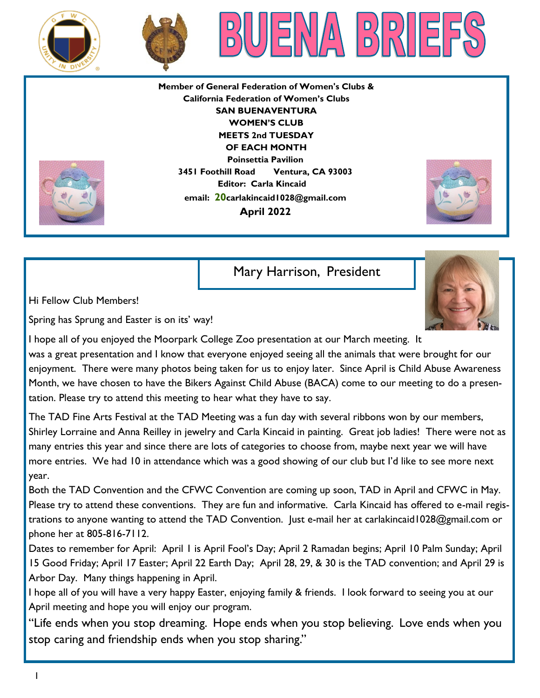





**Member of General Federation of Women's Clubs & California Federation of Women's Clubs SAN BUENAVENTURA WOMEN'S CLUB MEETS 2nd TUESDAY OF EACH MONTH Poinsettia Pavilion 3451 Foothill Road Ventura, CA 93003 Editor: Carla Kincaid email: 20carlakincaid1028@gmail.com April 2022**



Mary Harrison, President

Hi Fellow Club Members!

Spring has Sprung and Easter is on its' way!



The TAD Fine Arts Festival at the TAD Meeting was a fun day with several ribbons won by our members, Shirley Lorraine and Anna Reilley in jewelry and Carla Kincaid in painting. Great job ladies! There were not as many entries this year and since there are lots of categories to choose from, maybe next year we will have more entries. We had 10 in attendance which was a good showing of our club but I'd like to see more next year.

Both the TAD Convention and the CFWC Convention are coming up soon, TAD in April and CFWC in May. Please try to attend these conventions. They are fun and informative. Carla Kincaid has offered to e-mail registrations to anyone wanting to attend the TAD Convention. Just e-mail her at carlakincaid1028@gmail.com or phone her at 805-816-7112.

Dates to remember for April: April 1 is April Fool's Day; April 2 Ramadan begins; April 10 Palm Sunday; April 15 Good Friday; April 17 Easter; April 22 Earth Day; April 28, 29, & 30 is the TAD convention; and April 29 is Arbor Day. Many things happening in April.

I hope all of you will have a very happy Easter, enjoying family & friends. I look forward to seeing you at our April meeting and hope you will enjoy our program.

"Life ends when you stop dreaming. Hope ends when you stop believing. Love ends when you stop caring and friendship ends when you stop sharing."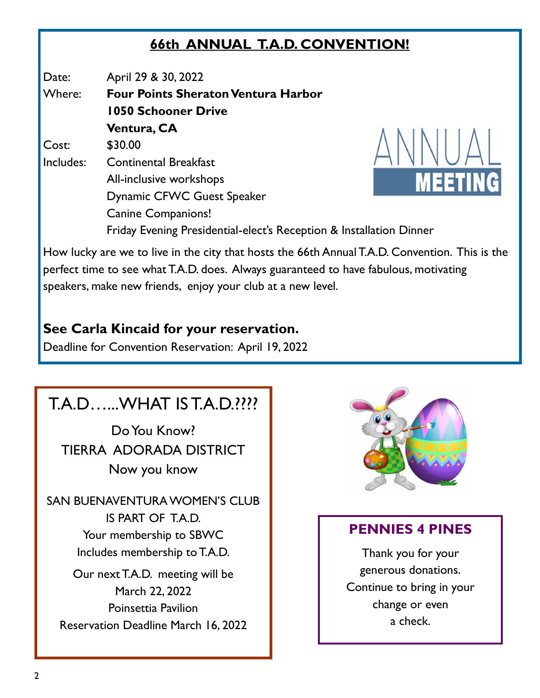### **66th ANNUAL T.A.D. CONVENTION!**

Date: April 29 & 30, 2022

Where: **Four Points Sheraton Ventura Harbor 1050 Schooner Drive Ventura, CA**  Cost: \$30.00 Includes: Continental Breakfast All-inclusive workshops Dynamic CFWC Guest Speaker Canine Companions!



Friday Evening Presidential-elect's Reception & Installation Dinner

How lucky are we to live in the city that hosts the 66th Annual T.A.D. Convention. This is the perfect time to see what T.A.D. does. Always guaranteed to have fabulous, motivating speakers, make new friends, enjoy your club at a new level.

#### **See Carla Kincaid for your reservation.**

Deadline for Convention Reservation: April 19, 2022

# T.A.D…...WHAT IS T.A.D.????

Do You Know? TIERRA ADORADA DISTRICT Now you know

SAN BUENAVENTURA WOMEN'S CLUB IS PART OF T.A.D. Your membership to SBWC Includes membership to T.A.D.

Our next T.A.D. meeting will be March 22, 2022 Poinsettia Pavilion Reservation Deadline March 16, 2022



### **PENNIES 4 PINES**

Thank you for your generous donations. Continue to bring in your change or even a check.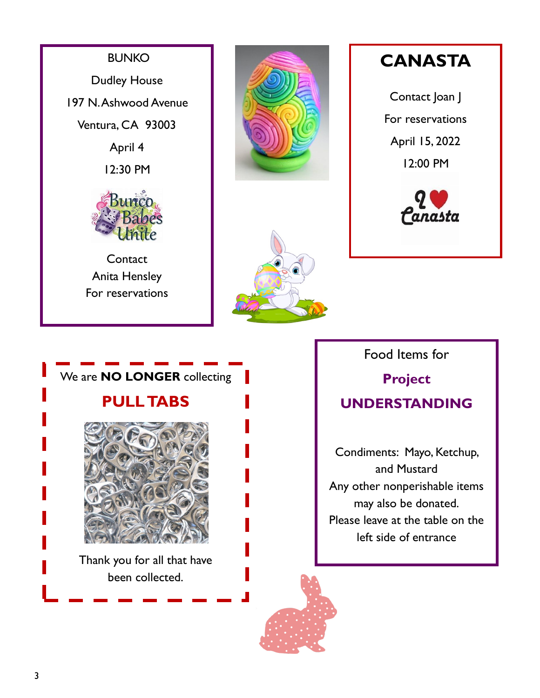





**CANASTA**

Contact Joan J For reservations April 15, 2022 12:00 PM





Food Items for

### **Project UNDERSTANDING**

Condiments: Mayo, Ketchup, and Mustard Any other nonperishable items may also be donated. Please leave at the table on the left side of entrance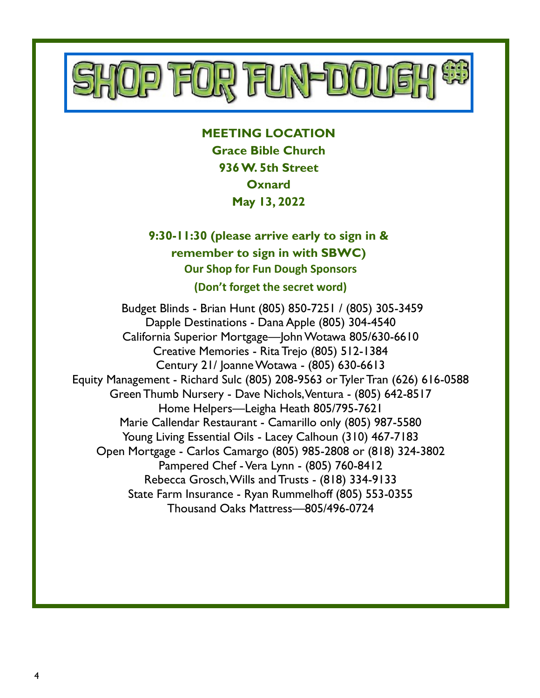

**MEETING LOCATION Grace Bible Church 936 W. 5th Street Oxnard May 13, 2022**

**9:30-11:30 (please arrive early to sign in & remember to sign in with SBWC) Our Shop for Fun Dough Sponsors (Don't forget the secret word)**

Budget Blinds - Brian Hunt (805) 850-7251 / (805) 305-3459 Dapple Destinations - Dana Apple (805) 304-4540 California Superior Mortgage—John Wotawa 805/630-6610 Creative Memories - Rita Trejo (805) 512-1384 Century 21/ Joanne Wotawa - (805) 630-6613 Equity Management - Richard Sulc (805) 208-9563 or Tyler Tran (626) 616-0588 Green Thumb Nursery - Dave Nichols, Ventura - (805) 642-8517 Home Helpers—Leigha Heath 805/795-7621 Marie Callendar Restaurant - Camarillo only (805) 987-5580 Young Living Essential Oils - Lacey Calhoun (310) 467-7183 Open Mortgage - Carlos Camargo (805) 985-2808 or (818) 324-3802 Pampered Chef -Vera Lynn - (805) 760-8412 Rebecca Grosch, Wills and Trusts - (818) 334-9133 State Farm Insurance - Ryan Rummelhoff (805) 553-0355 Thousand Oaks Mattress—805/496-0724